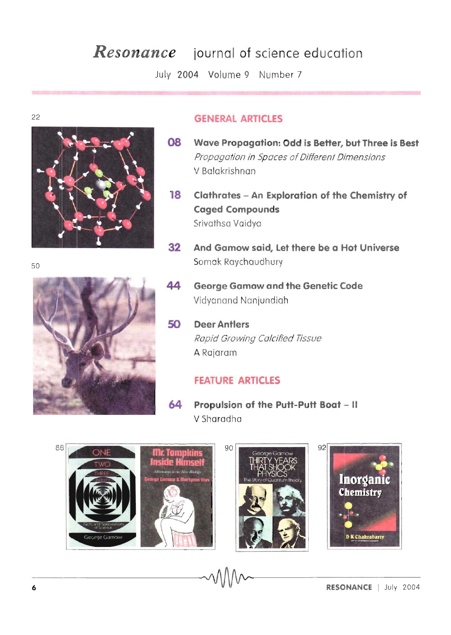# *Resonance* journal of science education

July 2004 Volume 9 Number 7



#### 22 GENERAL ARTICLES

- 08 Wave Propagation: Odd is Better, but Three is Best Propagation in Spaces of Different Dimensions V Balakrishnan
- 18 Clathrates An Exploration of the Chemistry of Caged Compounds Srivathsa Vaidya
- 32 And Gamow said, Let there be a Hot Universe 50 Somak Raychaudhury
	- 44 George Gamow and the Genetic Code Vidyanand Nanjundiah
- 
- 50 Deer Antlers Rapid Growing Calcified Tissue A Rajaram

## FEATURE ARTICLES

64 Propulsion of the Putt-Putt Boat - II V Sharadha







 $\text{RESONANCE}$  | July 2004